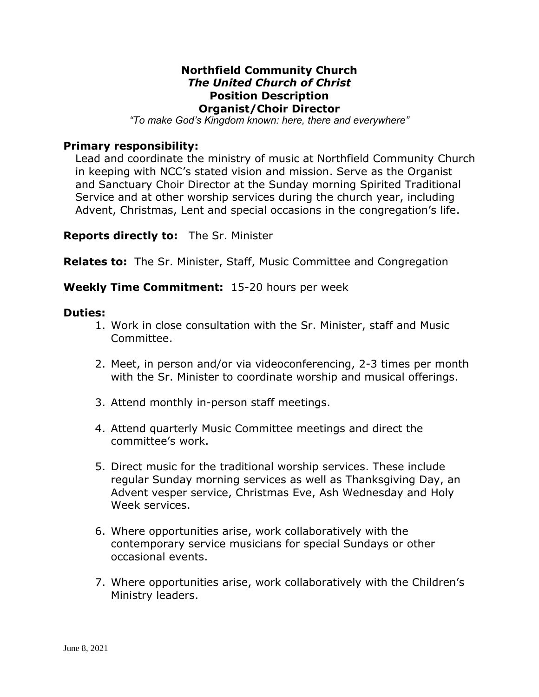### **Northfield Community Church** *The United Church of Christ* **Position Description Organist/Choir Director**

*"To make God's Kingdom known: here, there and everywhere"*

### **Primary responsibility:**

Lead and coordinate the ministry of music at Northfield Community Church in keeping with NCC's stated vision and mission. Serve as the Organist and Sanctuary Choir Director at the Sunday morning Spirited Traditional Service and at other worship services during the church year, including Advent, Christmas, Lent and special occasions in the congregation's life.

#### **Reports directly to:** The Sr. Minister

**Relates to:** The Sr. Minister, Staff, Music Committee and Congregation

## **Weekly Time Commitment:** 15-20 hours per week

#### **Duties:**

- 1. Work in close consultation with the Sr. Minister, staff and Music Committee.
- 2. Meet, in person and/or via videoconferencing, 2-3 times per month with the Sr. Minister to coordinate worship and musical offerings.
- 3. Attend monthly in-person staff meetings.
- 4. Attend quarterly Music Committee meetings and direct the committee's work.
- 5. Direct music for the traditional worship services. These include regular Sunday morning services as well as Thanksgiving Day, an Advent vesper service, Christmas Eve, Ash Wednesday and Holy Week services.
- 6. Where opportunities arise, work collaboratively with the contemporary service musicians for special Sundays or other occasional events.
- 7. Where opportunities arise, work collaboratively with the Children's Ministry leaders.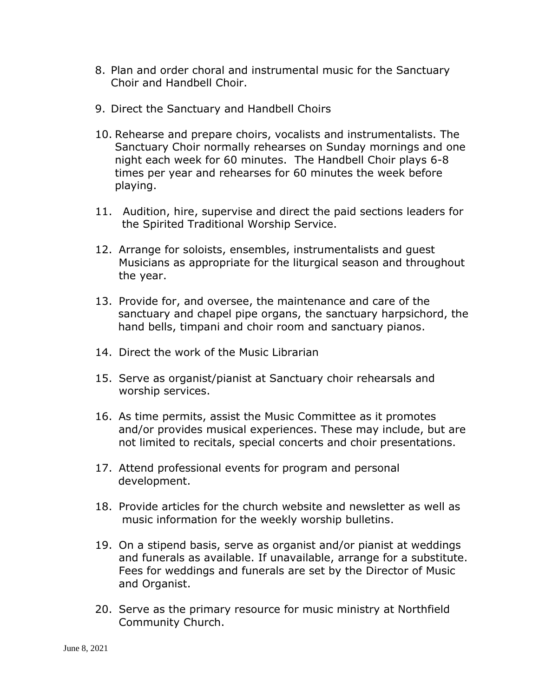- 8. Plan and order choral and instrumental music for the Sanctuary Choir and Handbell Choir.
- 9. Direct the Sanctuary and Handbell Choirs
- 10. Rehearse and prepare choirs, vocalists and instrumentalists. The Sanctuary Choir normally rehearses on Sunday mornings and one night each week for 60 minutes. The Handbell Choir plays 6-8 times per year and rehearses for 60 minutes the week before playing.
- 11. Audition, hire, supervise and direct the paid sections leaders for the Spirited Traditional Worship Service.
- 12. Arrange for soloists, ensembles, instrumentalists and guest Musicians as appropriate for the liturgical season and throughout the year.
- 13. Provide for, and oversee, the maintenance and care of the sanctuary and chapel pipe organs, the sanctuary harpsichord, the hand bells, timpani and choir room and sanctuary pianos.
- 14. Direct the work of the Music Librarian
- 15. Serve as organist/pianist at Sanctuary choir rehearsals and worship services.
- 16. As time permits, assist the Music Committee as it promotes and/or provides musical experiences. These may include, but are not limited to recitals, special concerts and choir presentations.
- 17. Attend professional events for program and personal development.
- 18. Provide articles for the church website and newsletter as well as music information for the weekly worship bulletins.
- 19. On a stipend basis, serve as organist and/or pianist at weddings and funerals as available. If unavailable, arrange for a substitute. Fees for weddings and funerals are set by the Director of Music and Organist.
- 20. Serve as the primary resource for music ministry at Northfield Community Church.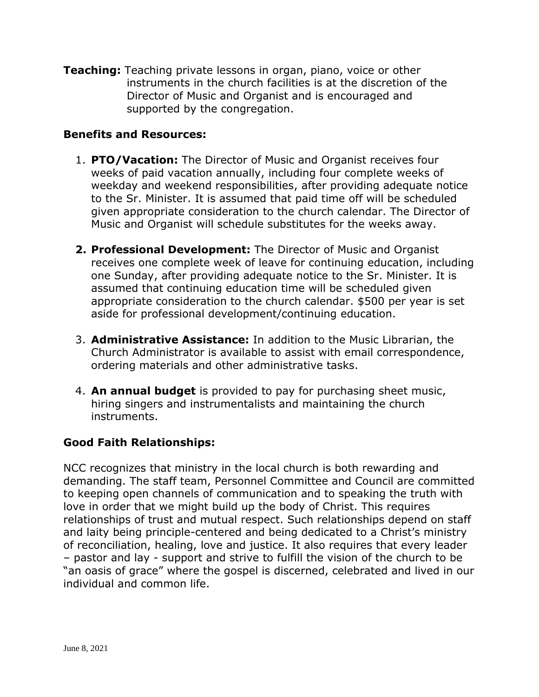**Teaching:** Teaching private lessons in organ, piano, voice or other instruments in the church facilities is at the discretion of the Director of Music and Organist and is encouraged and supported by the congregation.

## **Benefits and Resources:**

- 1. **PTO/Vacation:** The Director of Music and Organist receives four weeks of paid vacation annually, including four complete weeks of weekday and weekend responsibilities, after providing adequate notice to the Sr. Minister. It is assumed that paid time off will be scheduled given appropriate consideration to the church calendar. The Director of Music and Organist will schedule substitutes for the weeks away.
- **2. Professional Development:** The Director of Music and Organist receives one complete week of leave for continuing education, including one Sunday, after providing adequate notice to the Sr. Minister. It is assumed that continuing education time will be scheduled given appropriate consideration to the church calendar. \$500 per year is set aside for professional development/continuing education.
- 3. **Administrative Assistance:** In addition to the Music Librarian, the Church Administrator is available to assist with email correspondence, ordering materials and other administrative tasks.
- 4. **An annual budget** is provided to pay for purchasing sheet music, hiring singers and instrumentalists and maintaining the church instruments.

# **Good Faith Relationships:**

NCC recognizes that ministry in the local church is both rewarding and demanding. The staff team, Personnel Committee and Council are committed to keeping open channels of communication and to speaking the truth with love in order that we might build up the body of Christ. This requires relationships of trust and mutual respect. Such relationships depend on staff and laity being principle-centered and being dedicated to a Christ's ministry of reconciliation, healing, love and justice. It also requires that every leader – pastor and lay - support and strive to fulfill the vision of the church to be "an oasis of grace" where the gospel is discerned, celebrated and lived in our individual and common life.